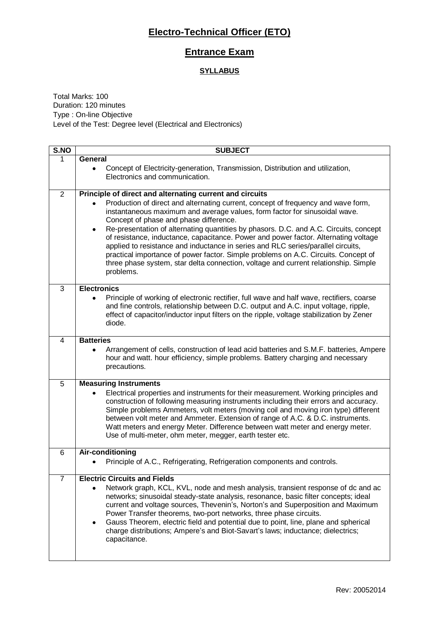## **Electro-Technical Officer (ETO)**

### **Entrance Exam**

#### **SYLLABUS**

Total Marks: 100 Duration: 120 minutes Type : On-line Objective Level of the Test: Degree level (Electrical and Electronics)

| S.NO           | <b>SUBJECT</b>                                                                                                                                                                                                                                                                                                                                                                                                                                                                                                                                                                                                                                                               |
|----------------|------------------------------------------------------------------------------------------------------------------------------------------------------------------------------------------------------------------------------------------------------------------------------------------------------------------------------------------------------------------------------------------------------------------------------------------------------------------------------------------------------------------------------------------------------------------------------------------------------------------------------------------------------------------------------|
| 1              | General                                                                                                                                                                                                                                                                                                                                                                                                                                                                                                                                                                                                                                                                      |
|                | Concept of Electricity-generation, Transmission, Distribution and utilization,<br>$\bullet$<br>Electronics and communication.                                                                                                                                                                                                                                                                                                                                                                                                                                                                                                                                                |
| 2              | Principle of direct and alternating current and circuits                                                                                                                                                                                                                                                                                                                                                                                                                                                                                                                                                                                                                     |
|                | Production of direct and alternating current, concept of frequency and wave form,<br>instantaneous maximum and average values, form factor for sinusoidal wave.<br>Concept of phase and phase difference.<br>Re-presentation of alternating quantities by phasors. D.C. and A.C. Circuits, concept<br>٠<br>of resistance, inductance, capacitance. Power and power factor. Alternating voltage<br>applied to resistance and inductance in series and RLC series/parallel circuits,<br>practical importance of power factor. Simple problems on A.C. Circuits. Concept of<br>three phase system, star delta connection, voltage and current relationship. Simple<br>problems. |
| 3              | <b>Electronics</b>                                                                                                                                                                                                                                                                                                                                                                                                                                                                                                                                                                                                                                                           |
|                | Principle of working of electronic rectifier, full wave and half wave, rectifiers, coarse<br>and fine controls, relationship between D.C. output and A.C. input voltage, ripple,<br>effect of capacitor/inductor input filters on the ripple, voltage stabilization by Zener<br>diode.                                                                                                                                                                                                                                                                                                                                                                                       |
| 4              | <b>Batteries</b>                                                                                                                                                                                                                                                                                                                                                                                                                                                                                                                                                                                                                                                             |
|                | Arrangement of cells, construction of lead acid batteries and S.M.F. batteries, Ampere<br>hour and watt. hour efficiency, simple problems. Battery charging and necessary<br>precautions.                                                                                                                                                                                                                                                                                                                                                                                                                                                                                    |
| 5              | <b>Measuring Instruments</b>                                                                                                                                                                                                                                                                                                                                                                                                                                                                                                                                                                                                                                                 |
|                | Electrical properties and instruments for their measurement. Working principles and<br>construction of following measuring instruments including their errors and accuracy.<br>Simple problems Ammeters, volt meters (moving coil and moving iron type) different<br>between volt meter and Ammeter. Extension of range of A.C. & D.C. instruments.<br>Watt meters and energy Meter. Difference between watt meter and energy meter.<br>Use of multi-meter, ohm meter, megger, earth tester etc.                                                                                                                                                                             |
| 6              | Air-conditioning                                                                                                                                                                                                                                                                                                                                                                                                                                                                                                                                                                                                                                                             |
|                | Principle of A.C., Refrigerating, Refrigeration components and controls.                                                                                                                                                                                                                                                                                                                                                                                                                                                                                                                                                                                                     |
| $\overline{7}$ | <b>Electric Circuits and Fields</b>                                                                                                                                                                                                                                                                                                                                                                                                                                                                                                                                                                                                                                          |
|                | Network graph, KCL, KVL, node and mesh analysis, transient response of dc and ac<br>networks; sinusoidal steady-state analysis, resonance, basic filter concepts; ideal<br>current and voltage sources, Thevenin's, Norton's and Superposition and Maximum<br>Power Transfer theorems, two-port networks, three phase circuits.<br>Gauss Theorem, electric field and potential due to point, line, plane and spherical<br>٠<br>charge distributions; Ampere's and Biot-Savart's laws; inductance; dielectrics;<br>capacitance.                                                                                                                                               |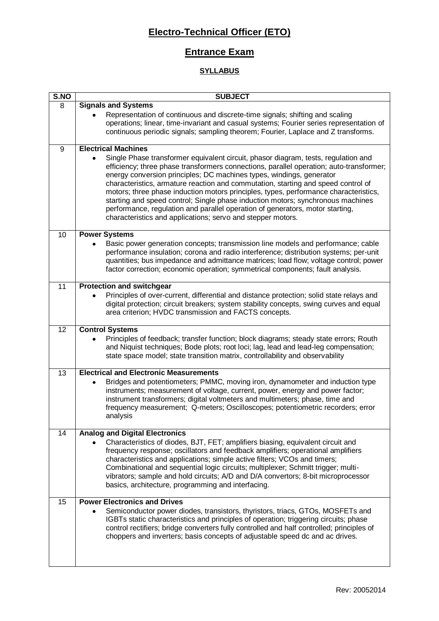# **Electro-Technical Officer (ETO)**

### **Entrance Exam**

#### **SYLLABUS**

| S.NO | <b>SUBJECT</b>                                                                                                                                                                                                                                                                                                                                                                                                                                                                                                                                                                                                                                                        |
|------|-----------------------------------------------------------------------------------------------------------------------------------------------------------------------------------------------------------------------------------------------------------------------------------------------------------------------------------------------------------------------------------------------------------------------------------------------------------------------------------------------------------------------------------------------------------------------------------------------------------------------------------------------------------------------|
| 8    | <b>Signals and Systems</b>                                                                                                                                                                                                                                                                                                                                                                                                                                                                                                                                                                                                                                            |
|      | Representation of continuous and discrete-time signals; shifting and scaling<br>operations; linear, time-invariant and casual systems; Fourier series representation of<br>continuous periodic signals; sampling theorem; Fourier, Laplace and Z transforms.                                                                                                                                                                                                                                                                                                                                                                                                          |
| 9    | <b>Electrical Machines</b>                                                                                                                                                                                                                                                                                                                                                                                                                                                                                                                                                                                                                                            |
|      | Single Phase transformer equivalent circuit, phasor diagram, tests, regulation and<br>efficiency; three phase transformers connections, parallel operation; auto-transformer;<br>energy conversion principles; DC machines types, windings, generator<br>characteristics, armature reaction and commutation, starting and speed control of<br>motors; three phase induction motors principles, types, performance characteristics,<br>starting and speed control; Single phase induction motors; synchronous machines<br>performance, regulation and parallel operation of generators, motor starting,<br>characteristics and applications; servo and stepper motors. |
| 10   | <b>Power Systems</b>                                                                                                                                                                                                                                                                                                                                                                                                                                                                                                                                                                                                                                                  |
|      | Basic power generation concepts; transmission line models and performance; cable<br>performance insulation; corona and radio interference; distribution systems; per-unit<br>quantities; bus impedance and admittance matrices; load flow; voltage control; power<br>factor correction; economic operation; symmetrical components; fault analysis.                                                                                                                                                                                                                                                                                                                   |
| 11   | <b>Protection and switchgear</b>                                                                                                                                                                                                                                                                                                                                                                                                                                                                                                                                                                                                                                      |
|      | Principles of over-current, differential and distance protection; solid state relays and<br>digital protection; circuit breakers; system stability concepts, swing curves and equal<br>area criterion; HVDC transmission and FACTS concepts.                                                                                                                                                                                                                                                                                                                                                                                                                          |
| 12   | <b>Control Systems</b>                                                                                                                                                                                                                                                                                                                                                                                                                                                                                                                                                                                                                                                |
|      | Principles of feedback; transfer function; block diagrams; steady state errors; Routh<br>and Niquist techniques; Bode plots; root loci; lag, lead and lead-leg compensation;<br>state space model; state transition matrix, controllability and observability                                                                                                                                                                                                                                                                                                                                                                                                         |
| 13   | <b>Electrical and Electronic Measurements</b>                                                                                                                                                                                                                                                                                                                                                                                                                                                                                                                                                                                                                         |
|      | Bridges and potentiometers; PMMC, moving iron, dynamometer and induction type<br>instruments; measurement of voltage, current, power, energy and power factor;<br>instrument transformers; digital voltmeters and multimeters; phase, time and<br>frequency measurement; Q-meters; Oscilloscopes; potentiometric recorders; error<br>analysis                                                                                                                                                                                                                                                                                                                         |
| 14   | <b>Analog and Digital Electronics</b>                                                                                                                                                                                                                                                                                                                                                                                                                                                                                                                                                                                                                                 |
|      | Characteristics of diodes, BJT, FET; amplifiers biasing, equivalent circuit and<br>frequency response; oscillators and feedback amplifiers; operational amplifiers<br>characteristics and applications; simple active filters; VCOs and timers;<br>Combinational and sequential logic circuits; multiplexer; Schmitt trigger; multi-<br>vibrators; sample and hold circuits; A/D and D/A convertors; 8-bit microprocessor<br>basics, architecture, programming and interfacing.                                                                                                                                                                                       |
| 15   | <b>Power Electronics and Drives</b>                                                                                                                                                                                                                                                                                                                                                                                                                                                                                                                                                                                                                                   |
|      | Semiconductor power diodes, transistors, thyristors, triacs, GTOs, MOSFETs and<br>IGBTs static characteristics and principles of operation; triggering circuits; phase<br>control rectifiers; bridge converters fully controlled and half controlled; principles of<br>choppers and inverters; basis concepts of adjustable speed dc and ac drives.                                                                                                                                                                                                                                                                                                                   |